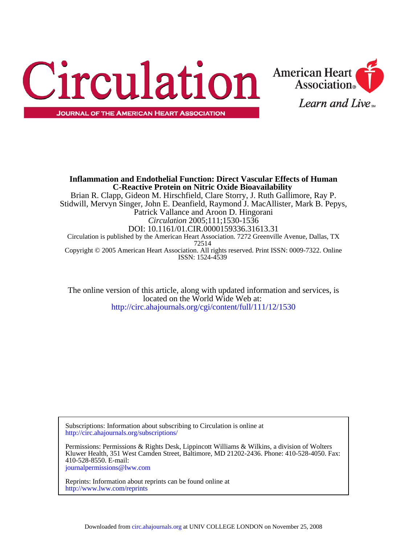



**Association**®

Learn and Live

<http://circ.ahajournals.org/cgi/content/full/111/12/1530> located on the World Wide Web at: The online version of this article, along with updated information and services, is

<http://circ.ahajournals.org/subscriptions/> Subscriptions: Information about subscribing to Circulation is online at

[journalpermissions@lww.com](mailto:journalpermissions@lww.com) 410-528-8550. E-mail: Kluwer Health, 351 West Camden Street, Baltimore, MD 21202-2436. Phone: 410-528-4050. Fax: Permissions: Permissions & Rights Desk, Lippincott Williams & Wilkins, a division of Wolters

<http://www.lww.com/reprints> Reprints: Information about reprints can be found online at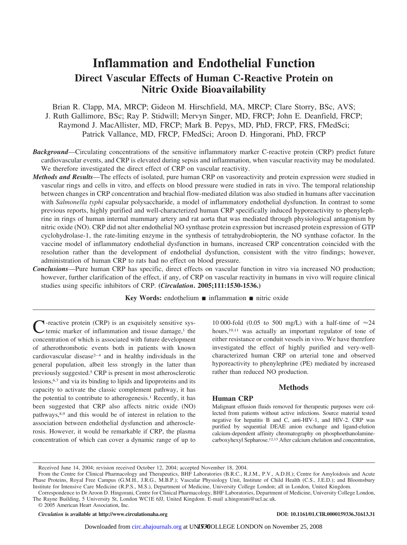# **Inflammation and Endothelial Function Direct Vascular Effects of Human C-Reactive Protein on Nitric Oxide Bioavailability**

Brian R. Clapp, MA, MRCP; Gideon M. Hirschfield, MA, MRCP; Clare Storry, BSc, AVS; J. Ruth Gallimore, BSc; Ray P. Stidwill; Mervyn Singer, MD, FRCP; John E. Deanfield, FRCP; Raymond J. MacAllister, MD, FRCP; Mark B. Pepys, MD, PhD, FRCP, FRS, FMedSci; Patrick Vallance, MD, FRCP, FMedSci; Aroon D. Hingorani, PhD, FRCP

- *Background*—Circulating concentrations of the sensitive inflammatory marker C-reactive protein (CRP) predict future cardiovascular events, and CRP is elevated during sepsis and inflammation, when vascular reactivity may be modulated. We therefore investigated the direct effect of CRP on vascular reactivity.
- *Methods and Results*—The effects of isolated, pure human CRP on vasoreactivity and protein expression were studied in vascular rings and cells in vitro, and effects on blood pressure were studied in rats in vivo. The temporal relationship between changes in CRP concentration and brachial flow-mediated dilation was also studied in humans after vaccination with *Salmonella typhi* capsular polysaccharide, a model of inflammatory endothelial dysfunction. In contrast to some previous reports, highly purified and well-characterized human CRP specifically induced hyporeactivity to phenylephrine in rings of human internal mammary artery and rat aorta that was mediated through physiological antagonism by nitric oxide (NO). CRP did not alter endothelial NO synthase protein expression but increased protein expression of GTP cyclohydrolase-1, the rate-limiting enzyme in the synthesis of tetrahydrobiopterin, the NO synthase cofactor. In the vaccine model of inflammatory endothelial dysfunction in humans, increased CRP concentration coincided with the resolution rather than the development of endothelial dysfunction, consistent with the vitro findings; however, administration of human CRP to rats had no effect on blood pressure.
- *Conclusions*—Pure human CRP has specific, direct effects on vascular function in vitro via increased NO production; however, further clarification of the effect, if any, of CRP on vascular reactivity in humans in vivo will require clinical studies using specific inhibitors of CRP. **(***Circulation***. 2005;111:1530-1536.)**

**Key Words:** endothelium ■ inflammation ■ nitric oxide

C-reactive protein (CRP) is an exquisitely sensitive systemic marker of inflammation and tissue damage,<sup>1</sup> the concentration of which is associated with future development of atherothrombotic events both in patients with known cardiovascular disease<sup> $2-4$ </sup> and in healthy individuals in the general population, albeit less strongly in the latter than previously suggested.5 CRP is present in most atherosclerotic lesions,6,7 and via its binding to lipids and lipoproteins and its capacity to activate the classic complement pathway, it has the potential to contribute to atherogenesis.<sup>1</sup> Recently, it has been suggested that CRP also affects nitric oxide (NO) pathways,8,9 and this would be of interest in relation to the association between endothelial dysfunction and atherosclerosis. However, it would be remarkable if CRP, the plasma concentration of which can cover a dynamic range of up to

10 000-fold (0.05 to 500 mg/L) with a half-time of  $\approx$ 24 hours,<sup>10,11</sup> was actually an important regulator of tone of either resistance or conduit vessels in vivo. We have therefore investigated the effect of highly purified and very-wellcharacterized human CRP on arterial tone and observed hyporeactivity to phenylephrine (PE) mediated by increased rather than reduced NO production.

## **Methods**

## **Human CRP**

Malignant effusion fluids removed for therapeutic purposes were collected from patients without active infections. Source material tested negative for hepatitis B and C, anti-HIV-1, and HIV-2. CRP was purified by sequential DEAE anion exchange and ligand-elution calcium-dependent affinity chromatography on phosphoethanolaminecarboxyhexyl Sepharose.12,13 After calcium chelation and concentration,

*Circulation* is available at http://www.circulationaha.org DOI: 10.1161/01.CIR.0000159336.31613.31

Received June 14, 2004; revision received October 12, 2004; accepted November 18, 2004.

From the Centre for Clinical Pharmacology and Therapeutics, BHF Laboratories (B.R.C., R.J.M., P.V., A.D.H.); Centre for Amyloidosis and Acute Phase Proteins, Royal Free Campus (G.M.H., J.R.G., M.B.P.); Vascular Physiology Unit, Institute of Child Health (C.S., J.E.D.); and Bloomsbury Institute for Intensive Care Medicine (R.P.S., M.S.), Department of Medicine, University College London; all in London, United Kingdom.

Correspondence to Dr Aroon D. Hingorani, Centre for Clinical Pharmacology, BHF Laboratories, Department of Medicine, University College London, The Rayne Building, 5 University St, London WC1E 6JJ, United Kingdom. E-mail a.hingorani@ucl.ac.uk.

<sup>© 2005</sup> American Heart Association, Inc.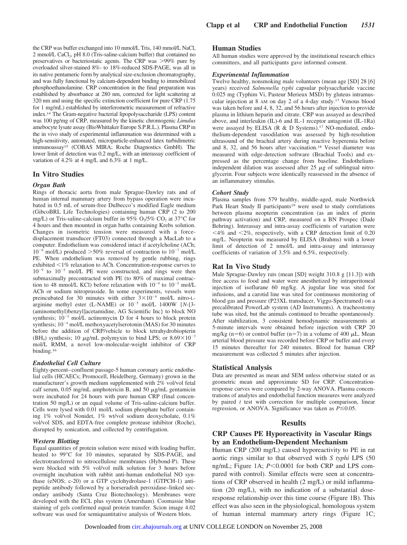the CRP was buffer exchanged into 10 mmol/L Tris, 140 mmol/L NaCl, 2 mmol/L CaCl<sub>2</sub>, pH 8.0 (Tris-saline-calcium buffer) that contained no preservatives or bacteriostatic agents. The CRP was >99% pure by overloaded silver-stained 8%- to 18%-reduced SDS-PAGE, was all in its native pentameric form by analytical size-exclusion chromatography, and was fully functional by calcium-dependent binding to immobilized phosphoethanolamine. CRP concentration in the final preparation was established by absorbance at 280 nm, corrected for light scattering at 320 nm and using the specific extinction coefficient for pure CRP (1.75 for 1 mg/mL) established by interferometric measurement of refractive index.14 The Gram-negative bacterial lipopolysaccharide (LPS) content was 100 pg/mg of CRP, measured by the kinetic chromogenic *Limulus* amebocyte lysate assay (BioWhittaker Europe S.P.R.L.). Plasma CRP in the in vivo study of experimental inflammation was determined with a high-sensitivity, automated, microparticle-enhanced latex turbidimetric immunoassay15 (COBAS MIRA; Roche Diagnostics GmbH). The lower limit of detection was 0.2 mg/L, with an interassay coefficient of variation of 4.2% at 4 mg/L and 6.3% at 1 mg/L.

#### **In Vitro Studies**

#### *Organ Bath*

Rings of thoracic aorta from male Sprague-Dawley rats and of human internal mammary artery from bypass operation were incubated in 0.5 mL of serum-free Dulbecco's modified Eagle medium (GibcoBRL Life Technologies) containing human CRP (2 to 200 mg/L) or Tris-saline-calcium buffer in 95%  $O_2/5\%$  CO<sub>2</sub> at 37°C for 4 hours and then mounted in organ baths containing Krebs solution. Changes in isometric tension were measured with a forcedisplacement transducer (FT03) connected through a MacLab to a computer. Endothelium was considered intact if acetylcholine (ACh;  $10^{-6}$  mol/L) produced  $>50\%$  reversal of contraction to  $10^{-7}$  mol/L PE. When endothelium was removed by gentle rubbing, rings exhibited <1% relaxation to ACh. Concentration-response curves to  $10^{-9}$  to  $10^{-5}$  mol/L PE were constructed, and rings were then submaximally precontracted with PE (to 80% of maximal contraction to 48 mmol/L KCl) before relaxation with  $10^{-9}$  to  $10^{-5}$  mol/L ACh or sodium nitroprusside. In some experiments, vessels were preincubated for 30 minutes with either  $3\times10^{-4}$  mol/L nitro-Larginine methyl ester (L-NAME) or  $10^{-5}$  mol/L 1400W  ${N-[3-1]}$ (aminomethyl)benzyl]acetamidine, AG Scientific Inc} to block NO synthesis;  $10^{-5}$  mol/L actinomycin D for 4 hours to block protein synthesis;  $10^{-4}$  mol/L methoxyacetylserotonin (MAS) for 30 minutes before the addition of CRP/vehicle to block tetrahydrobiopterin (BH<sub>4</sub>) synthesis; 10  $\mu$ g/mL polymyxin to bind LPS; or 8.69 $\times$ 10<sup>-3</sup> mol/L RMM, a novel low-molecular-weight inhibitor of CRP binding.16

#### *Endothelial Cell Culture*

Eighty-percent– confluent passage-5 human coronary aortic endothelial cells (HCAECs; Promocell, Heidelberg, Germany) grown in the manufacturer's growth medium supplemented with 2% vol/vol fetal calf serum,  $0.05$  mg/mL amphotericin B, and  $50 \mu$ g/mL gentamicin were incubated for 24 hours with pure human CRP (final concentration 50 mg/L) or an equal volume of Tris-saline-calcium buffer. Cells were lysed with 0.01 mol/L sodium phosphate buffer containing 1% vol/vol Nonidet, 1% wt/vol sodium deoxycholate, 0.1% vol/vol SDS, and EDTA-free complete protease inhibitor (Roche), disrupted by sonication, and collected by centrifugation.

#### *Western Blotting*

Equal quantities of protein solution were mixed with loading buffer, heated to 99°C for 10 minutes, separated by SDS-PAGE, and electrotransferred to nitrocellulose membranes (Hybond-P). These were blocked with 5% vol/vol milk solution for 3 hours before overnight incubation with rabbit anti-human endothelial NO synthase (eNOS; c-20) or a GTP cyclohydrolase-1 (GTPCH-1) antipeptide antibody followed by a horseradish peroxidase–linked secondary antibody (Santa Cruz Biotechnology). Membranes were developed with the ECL plus system (Amersham). Coomassie blue staining of gels confirmed equal protein transfer. Scion image 4.02 software was used for semiquantitative analysis of Western blots.

#### **Human Studies**

All human studies were approved by the institutional research ethics committees, and all participants gave informed consent.

#### *Experimental Inflammation*

Twelve healthy, nonsmoking male volunteers (mean age [SD] 28 [6] years) received *Salmonella typhi* capsular polysaccharide vaccine 0.025 mg (Typhim Vi, Pasteur Merieux MSD) by gluteus intramuscular injection at 8 AM on day 2 of a 4-day study.17 Venous blood was taken before and 4, 8, 32, and 56 hours after injection to provide plasma in lithium heparin and citrate. CRP was assayed as described above, and interleukin (IL)-6 and IL-1 receptor antagonist (IL-1Ra) were assayed by ELISA (R & D Systems).17 NO-mediated, endothelium-dependent vasodilation was assessed by high-resolution ultrasound of the brachial artery during reactive hyperemia before and 8, 32, and 56 hours after vaccination.18 Vessel diameter was measured with edge-detection software (Brachial Tools) and expressed as the percentage change from baseline. Endotheliumindependent dilation was assessed after  $25 \mu g$  of sublingual nitroglycerin. Four subjects were identically reassessed in the absence of an inflammatory stimulus.

#### *Cohort Study*

Plasma samples from 579 healthy, middle-aged, male Northwick Park Heart Study II participants<sup>19</sup> were used to study correlations between plasma neopterin concentration (as an index of pterin pathway activation) and CRP, measured on a BN Prospec (Dade Behring). Interassay and intra-assay coefficients of variation were  $\langle 4\% \rangle$  and  $\langle 2\% \rangle$ , respectively, with a CRP detection limit of 0.20 mg/L. Neopterin was measured by ELISA (Brahms) with a lower limit of detection of 2 nmol/L and intra-assay and interassay coefficients of variation of 3.5% and 6.5%, respectively.

#### **Rat In Vivo Study**

Male Sprague-Dawley rats (mean [SD] weight 310.8 g [11.3]) with free access to food and water were anesthetized by intraperitoneal injection of isoflurane 60 mg/kg. A jugular line was sited for infusions, and a carotid line was sited for continuous monitoring of blood gas and pressure (P23XL transducer, Viggo-Spectramed) on a precalibrated PowerLab system (AD Instruments). A tracheostomy tube was sited, but the animals continued to breathe spontaneously. After stabilization, 3 consistent hemodynamic measurements at 5-minute intervals were obtained before injection with CRP 20 mg/kg (n=6) or control buffer (n=7) in a volume of 400  $\mu$ L. Mean arterial blood pressure was recorded before CRP or buffer and every 15 minutes thereafter for 240 minutes. Blood for human CRP measurement was collected 5 minutes after injection.

#### **Statistical Analysis**

Data are presented as mean and SEM unless otherwise stated or as geometric mean and approximate SD for CRP. Concentrationresponse curves were compared by 2-way ANOVA. Plasma concentrations of analytes and endothelial function measures were analyzed by paired *t* test with correction for multiple comparison, linear regression, or ANOVA. Significance was taken as  $P \le 0.05$ .

#### **Results**

## **CRP Causes PE Hyporeactivity in Vascular Rings by an Endothelium-Dependent Mechanism**

Human CRP (200 mg/L) caused hyporeactivity to PE in rat aortic rings similar to that observed with *S typhi* LPS (50 ng/mL; Figure 1A;  $P \le 0.0001$  for both CRP and LPS compared with control). Similar effects were seen at concentrations of CRP observed in health (2 mg/L) or mild inflammation (20 mg/L), with no indication of a substantial doseresponse relationship over this time course (Figure 1B). This effect was also seen in the physiological, homologous system of human internal mammary artery rings (Figure 1C;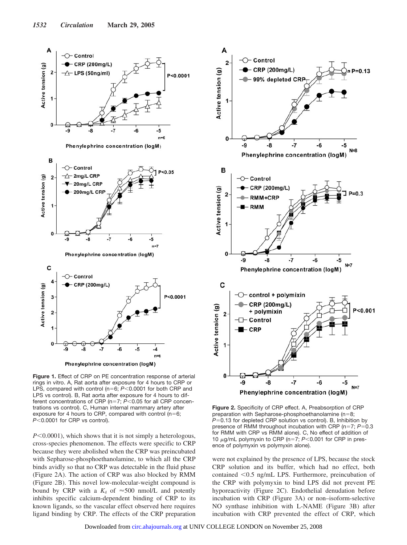



**Figure 1.** Effect of CRP on PE concentration response of arterial rings in vitro. A, Rat aorta after exposure for 4 hours to CRP or LPS, compared with control ( $n=6$ ;  $P<0.0001$  for both CRP and LPS vs control). B, Rat aorta after exposure for 4 hours to different concentrations of CRP ( $n=7$ ;  $P<0.05$  for all CRP concentrations vs control). C, Human internal mammary artery after exposure for 4 hours to CRP, compared with control ( $n=6$ ; *P*<0.0001 for CRP vs control).

 $P \leq 0.0001$ , which shows that it is not simply a heterologous, cross-species phenomenon. The effects were specific to CRP because they were abolished when the CRP was preincubated with Sepharose-phosphoethanolamine, to which all the CRP binds avidly so that no CRP was detectable in the fluid phase (Figure 2A). The action of CRP was also blocked by RMM (Figure 2B). This novel low-molecular-weight compound is bound by CRP with a  $K_d$  of  $\approx 500$  nmol/L and potently inhibits specific calcium-dependent binding of CRP to its known ligands, so the vascular effect observed here requires ligand binding by CRP. The effects of the CRP preparation



**Figure 2.** Specificity of CRP effect. A, Preabsorption of CRP preparation with Sepharose-phosphoethanolamine ( $n=8$ ; *P*=0.13 for depleted CRP solution vs control). B, Inhibition by presence of RMM throughout incubation with CRP (n=7; P=0.3) for RMM with CRP vs RMM alone). C, No effect of addition of 10  $\mu$ g/mL polymyxin to CRP (n=7;  $P$ <0.001 for CRP in presence of polymyxin vs polymyxin alone).

were not explained by the presence of LPS, because the stock CRP solution and its buffer, which had no effect, both contained <0.5 ng/mL LPS. Furthermore, preincubation of the CRP with polymyxin to bind LPS did not prevent PE hyporeactivity (Figure 2C). Endothelial denudation before incubation with CRP (Figure 3A) or non–isoform-selective NO synthase inhibition with L-NAME (Figure 3B) after incubation with CRP prevented the effect of CRP, which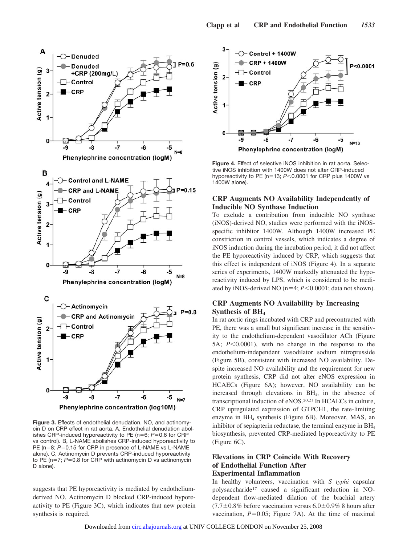

**Figure 3.** Effects of endothelial denudation, NO, and actinomycin D on CRP effect in rat aorta. A, Endothelial denudation abolishes CRP-induced hyporeactivity to PE ( $n=6$ ;  $P=0.6$  for CRP vs control). B, L-NAME abolishes CRP-induced hyporeactivity to PE (n=8; P=0.15 for CRP in presence of L-NAME vs L-NAME alone). C, Actinomycin D prevents CRP-induced hyporeactivity to PE ( $n=7$ ;  $P=0.8$  for CRP with actinomycin D vs actinomycin D alone).

suggests that PE hyporeactivity is mediated by endotheliumderived NO. Actinomycin D blocked CRP-induced hyporeactivity to PE (Figure 3C), which indicates that new protein synthesis is required.



**Figure 4.** Effect of selective iNOS inhibition in rat aorta. Selective iNOS inhibition with 1400W does not alter CRP-induced hyporeactivity to PE ( $n=13$ ;  $P<0.0001$  for CRP plus 1400W vs 1400W alone).

### **CRP Augments NO Availability Independently of Inducible NO Synthase Induction**

To exclude a contribution from inducible NO synthase (iNOS)-derived NO, studies were performed with the iNOSspecific inhibitor 1400W. Although 1400W increased PE constriction in control vessels, which indicates a degree of iNOS induction during the incubation period, it did not affect the PE hyporeactivity induced by CRP, which suggests that this effect is independent of iNOS (Figure 4). In a separate series of experiments, 1400W markedly attenuated the hyporeactivity induced by LPS, which is considered to be mediated by iNOS-derived NO ( $n=4$ ;  $P<0.0001$ ; data not shown).

## **CRP Augments NO Availability by Increasing** Synthesis of BH<sub>4</sub>

In rat aortic rings incubated with CRP and precontracted with PE, there was a small but significant increase in the sensitivity to the endothelium-dependent vasodilator ACh (Figure 5A;  $P \le 0.0001$ ), with no change in the response to the endothelium-independent vasodilator sodium nitroprusside (Figure 5B), consistent with increased NO availability. Despite increased NO availability and the requirement for new protein synthesis, CRP did not alter eNOS expression in HCAECs (Figure 6A); however, NO availability can be increased through elevations in BH4, in the absence of transcriptional induction of eNOS.20,21 In HCAECs in culture, CRP upregulated expression of GTPCH1, the rate-limiting enzyme in  $BH<sub>4</sub>$  synthesis (Figure 6B). Moreover, MAS, an inhibitor of sepiapterin reductase, the terminal enzyme in BH4 biosynthesis, prevented CRP-mediated hyporeactivity to PE (Figure 6C).

## **Elevations in CRP Coincide With Recovery of Endothelial Function After Experimental Inflammation**

In healthy volunteers, vaccination with *S typhi* capsular polysaccharide17 caused a significant reduction in NOdependent flow-mediated dilation of the brachial artery  $(7.7\pm0.8\%$  before vaccination versus  $6.0\pm0.9\%$  8 hours after vaccination,  $P=0.05$ ; Figure 7A). At the time of maximal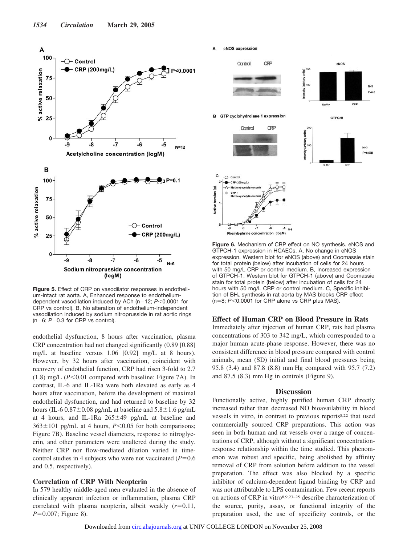

**Figure 5.** Effect of CRP on vasodilator responses in endothelium-intact rat aorta. A, Enhanced response to endotheliumdependent vasodilation induced by ACh ( $n=12$ ;  $P<0.0001$  for CRP vs control). B, No alteration of endothelium-independent vasodilation induced by sodium nitroprusside in rat aortic rings  $(n=6; P=0.3$  for CRP vs control).

endothelial dysfunction, 8 hours after vaccination, plasma CRP concentration had not changed significantly (0.89 [0.88] mg/L at baseline versus 1.06 [0.92] mg/L at 8 hours). However, by 32 hours after vaccination, coincident with recovery of endothelial function, CRP had risen 3-fold to 2.7  $(1.8)$  mg/L  $(P<0.01$  compared with baseline; Figure 7A). In contrast, IL-6 and IL-1Ra were both elevated as early as 4 hours after vaccination, before the development of maximal endothelial dysfunction, and had returned to baseline by 32 hours (IL-6 0.87 $\pm$ 0.08 pg/mL at baseline and 5.8 $\pm$ 1.6 pg/mL at 4 hours, and IL-1Ra  $265 \pm 49$  pg/mL at baseline and  $363 \pm 101$  pg/mL at 4 hours, *P*<0.05 for both comparisons; Figure 7B). Baseline vessel diameters, response to nitroglycerin, and other parameters were unaltered during the study. Neither CRP nor flow-mediated dilation varied in timecontrol studies in 4 subjects who were not vaccinated  $(P=0.6$ and 0.5, respectively).

## **Correlation of CRP With Neopterin**

In 579 healthy middle-aged men evaluated in the absence of clinically apparent infection or inflammation, plasma CRP correlated with plasma neopterin, albeit weakly  $(r=0.11,$  $P=0.007$ ; Figure 8).

eNOS expression



**Figure 6.** Mechanism of CRP effect on NO synthesis. eNOS and GTPCH-1 expression in HCAECs. A, No change in eNOS expression. Western blot for eNOS (above) and Coomassie stain for total protein (below) after incubation of cells for 24 hours with 50 mg/L CRP or control medium. B, Increased expression of GTPCH-1. Western blot for GTPCH-1 (above) and Coomassie stain for total protein (below) after incubation of cells for 24 hours with 50 mg/L CRP or control medium. C, Specific inhibition of BH<sub>4</sub> synthesis in rat aorta by MAS blocks CRP effect  $(n=8; P<0.0001$  for CRP alone vs CRP plus MAS).

#### **Effect of Human CRP on Blood Pressure in Rats**

Immediately after injection of human CRP, rats had plasma concentrations of 303 to 342 mg/L, which corresponded to a major human acute-phase response. However, there was no consistent difference in blood pressure compared with control animals, mean (SD) initial and final blood pressures being 95.8 (3.4) and 87.8 (8.8) mm Hg compared with 95.7 (7.2) and 87.5 (8.3) mm Hg in controls (Figure 9).

#### **Discussion**

Functionally active, highly purified human CRP directly increased rather than decreased NO bioavailability in blood vessels in vitro, in contrast to previous reports8,22 that used commercially sourced CRP preparations. This action was seen in both human and rat vessels over a range of concentrations of CRP, although without a significant concentrationresponse relationship within the time studied. This phenomenon was robust and specific, being abolished by affinity removal of CRP from solution before addition to the vessel preparation. The effect was also blocked by a specific inhibitor of calcium-dependent ligand binding by CRP and was not attributable to LPS contamination. Few recent reports on actions of CRP in vitro8,9,23–25 describe characterization of the source, purity, assay, or functional integrity of the preparation used, the use of specificity controls, or the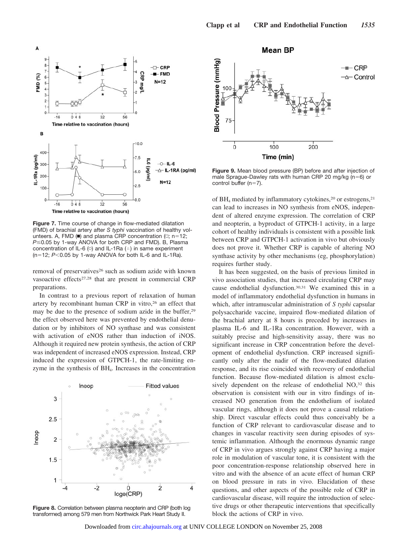

**Figure 7.** Time course of change in flow-mediated dilatation (FMD) of brachial artery after *S typhi* vaccination of healthy volunteers. A, FMD ( $\blacksquare$ ) and plasma CRP concentration ( $\square$ ; n=12; *P*≤0.05 by 1-way ANOVA for both CRP and FMD). B, Plasma concentration of IL-6 ( $\circ$ ) and IL-1Ra ( $\circ$ ) in same experiment  $(n=12; P<0.05$  by 1-way ANOVA for both IL-6 and IL-1Ra).

removal of preservatives<sup>26</sup> such as sodium azide with known vasoactive effects<sup>27,28</sup> that are present in commercial CRP preparations.

In contrast to a previous report of relaxation of human artery by recombinant human CRP in vitro,<sup>26</sup> an effect that may be due to the presence of sodium azide in the buffer,29 the effect observed here was prevented by endothelial denudation or by inhibitors of NO synthase and was consistent with activation of eNOS rather than induction of iNOS. Although it required new protein synthesis, the action of CRP was independent of increased eNOS expression. Instead, CRP induced the expression of GTPCH-1, the rate-limiting enzyme in the synthesis of  $BH<sub>4</sub>$ . Increases in the concentration



**Figure 8.** Correlation between plasma neopterin and CRP (both log transformed) among 579 men from Northwick Park Heart Study II.

**Mean BP** 



**Figure 9.** Mean blood pressure (BP) before and after injection of male Sprague-Dawley rats with human CRP 20 mg/kg ( $n=6$ ) or control buffer ( $n=7$ ).

of  $BH<sub>4</sub>$  mediated by inflammatory cytokines,<sup>20</sup> or estrogens,<sup>21</sup> can lead to increases in NO synthesis from eNOS, independent of altered enzyme expression. The correlation of CRP and neopterin, a byproduct of GTPCH-1 activity, in a large cohort of healthy individuals is consistent with a possible link between CRP and GTPCH-1 activation in vivo but obviously does not prove it. Whether CRP is capable of altering NO synthase activity by other mechanisms (eg, phosphorylation) requires further study.

It has been suggested, on the basis of previous limited in vivo association studies, that increased circulating CRP may cause endothelial dysfunction.30,31 We examined this in a model of inflammatory endothelial dysfunction in humans in which, after intramuscular administration of *S typhi* capsular polysaccharide vaccine, impaired flow-mediated dilation of the brachial artery at 8 hours is preceded by increases in plasma IL-6 and IL-1Ra concentration. However, with a suitably precise and high-sensitivity assay, there was no significant increase in CRP concentration before the development of endothelial dysfunction. CRP increased significantly only after the nadir of the flow-mediated dilation response, and its rise coincided with recovery of endothelial function. Because flow-mediated dilation is almost exclusively dependent on the release of endothelial NO,<sup>32</sup> this observation is consistent with our in vitro findings of increased NO generation from the endothelium of isolated vascular rings, although it does not prove a causal relationship. Direct vascular effects could thus conceivably be a function of CRP relevant to cardiovascular disease and to changes in vascular reactivity seen during episodes of systemic inflammation. Although the enormous dynamic range of CRP in vivo argues strongly against CRP having a major role in modulation of vascular tone, it is consistent with the poor concentration-response relationship observed here in vitro and with the absence of an acute effect of human CRP on blood pressure in rats in vivo. Elucidation of these questions, and other aspects of the possible role of CRP in cardiovascular disease, will require the introduction of selective drugs or other therapeutic interventions that specifically block the actions of CRP in vivo.